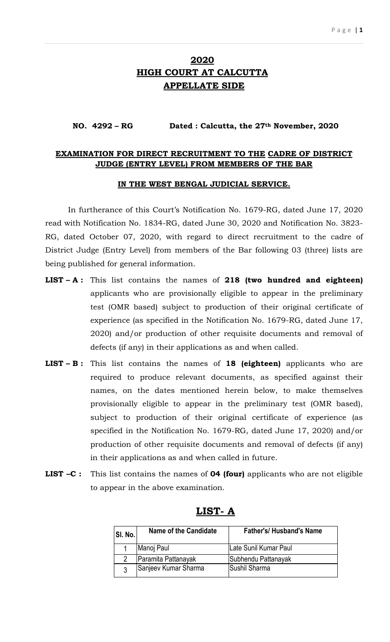### **2020 HIGH COURT AT CALCUTTA APPELLATE SIDE**

#### **NO. 4292 – RG Dated : Calcutta, the 27th November, 2020**

#### **EXAMINATION FOR DIRECT RECRUITMENT TO THE CADRE OF DISTRICT JUDGE (ENTRY LEVEL) FROM MEMBERS OF THE BAR**

#### **IN THE WEST BENGAL JUDICIAL SERVICE.**

In furtherance of this Court's Notification No. 1679-RG, dated June 17, 2020 read with Notification No. 1834-RG, dated June 30, 2020 and Notification No. 3823- RG, dated October 07, 2020, with regard to direct recruitment to the cadre of District Judge (Entry Level) from members of the Bar following 03 (three) lists are being published for general information.

- **LIST – A :** This list contains the names of **218 (two hundred and eighteen)**  applicants who are provisionally eligible to appear in the preliminary test (OMR based) subject to production of their original certificate of experience (as specified in the Notification No. 1679-RG, dated June 17, 2020) and/or production of other requisite documents and removal of defects (if any) in their applications as and when called.
- **LIST – B :** This list contains the names of **18 (eighteen)** applicants who are required to produce relevant documents, as specified against their names, on the dates mentioned herein below, to make themselves provisionally eligible to appear in the preliminary test (OMR based), subject to production of their original certificate of experience (as specified in the Notification No. 1679-RG, dated June 17, 2020) and/or production of other requisite documents and removal of defects (if any) in their applications as and when called in future.
- **LIST –C :** This list contains the names of **04 (four)** applicants who are not eligible to appear in the above examination.

| SI. No. | Name of the Candidate | <b>Father's/ Husband's Name</b> |
|---------|-----------------------|---------------------------------|
|         | Manoj Paul            | Late Sunil Kumar Paul           |
| 2       | Paramita Pattanayak   | Subhendu Pattanayak             |
| ્ર      | Sanjeev Kumar Sharma  | Sushil Sharma                   |

#### **LIST- A**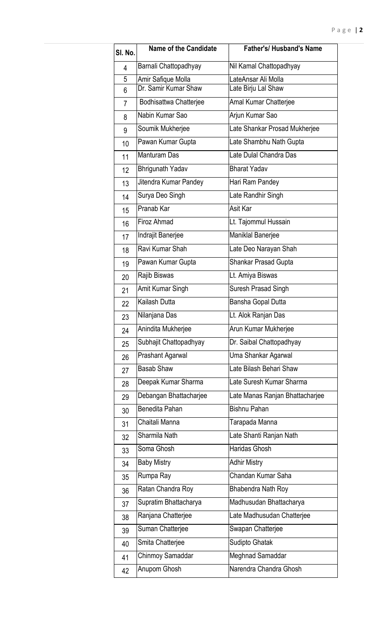| SI. No.        | <b>Name of the Candidate</b> | <b>Father's/Husband's Name</b>  |
|----------------|------------------------------|---------------------------------|
| 4              | Barnali Chattopadhyay        | Nil Kamal Chattopadhyay         |
| 5              | Amir Safique Molla           | LateAnsar Ali Molla             |
| 6              | Dr. Samir Kumar Shaw         | Late Birju Lal Shaw             |
| $\overline{7}$ | Bodhisattwa Chatterjee       | Amal Kumar Chatterjee           |
| 8              | Nabin Kumar Sao              | Arjun Kumar Sao                 |
| 9              | Soumik Mukherjee             | Late Shankar Prosad Mukherjee   |
| 10             | Pawan Kumar Gupta            | Late Shambhu Nath Gupta         |
| 11             | <b>Manturam Das</b>          | Late Dulal Chandra Das          |
| 12             | Bhrigunath Yadav             | <b>Bharat Yadav</b>             |
| 13             | Jitendra Kumar Pandey        | Hari Ram Pandey                 |
| 14             | Surya Deo Singh              | Late Randhir Singh              |
| 15             | Pranab Kar                   | Asit Kar                        |
| 16             | Firoz Ahmad                  | Lt. Tajommul Hussain            |
| 17             | Indrajit Banerjee            | Maniklal Banerjee               |
| 18             | Ravi Kumar Shah              | Late Deo Narayan Shah           |
| 19             | Pawan Kumar Gupta            | Shankar Prasad Gupta            |
| 20             | Rajib Biswas                 | Lt. Amiya Biswas                |
| 21             | Amit Kumar Singh             | Suresh Prasad Singh             |
| 22             | Kailash Dutta                | Bansha Gopal Dutta              |
| 23             | Nilanjana Das                | Lt. Alok Ranjan Das             |
| 24             | Anindita Mukherjee           | Arun Kumar Mukherjee            |
| 25             | Subhajit Chattopadhyay       | Dr. Saibal Chattopadhyay        |
| 26             | <b>Prashant Agarwal</b>      | Uma Shankar Agarwal             |
| 27             | <b>Basab Shaw</b>            | Late Bilash Behari Shaw         |
| 28             | Deepak Kumar Sharma          | Late Suresh Kumar Sharma        |
| 29             | Debangan Bhattacharjee       | Late Manas Ranjan Bhattacharjee |
| 30             | Benedita Pahan               | <b>Bishnu Pahan</b>             |
| 31             | Chaitali Manna               | Tarapada Manna                  |
| 32             | Sharmila Nath                | Late Shanti Ranjan Nath         |
| 33             | Soma Ghosh                   | <b>Haridas Ghosh</b>            |
| 34             | <b>Baby Mistry</b>           | <b>Adhir Mistry</b>             |
| 35             | Rumpa Ray                    | Chandan Kumar Saha              |
| 36             | Ratan Chandra Roy            | Bhabendra Nath Roy              |
| 37             | Supratim Bhattacharya        | Madhusudan Bhattacharya         |
| 38             | Ranjana Chatterjee           | Late Madhusudan Chatterjee      |
| 39             | Suman Chatterjee             | Swapan Chatterjee               |
| 40             | Smita Chatterjee             | Sudipto Ghatak                  |
| 41             | Chinmoy Samaddar             | Meghnad Samaddar                |
| 42             | Anupom Ghosh                 | Narendra Chandra Ghosh          |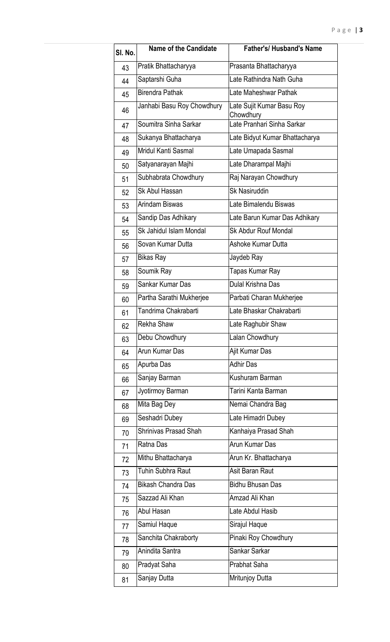| SI. No. | <b>Name of the Candidate</b> | <b>Father's/ Husband's Name</b>        |  |
|---------|------------------------------|----------------------------------------|--|
| 43      | Pratik Bhattacharyya         | Prasanta Bhattacharyya                 |  |
| 44      | Saptarshi Guha               | Late Rathindra Nath Guha               |  |
| 45      | Birendra Pathak              | Late Maheshwar Pathak                  |  |
| 46      | Janhabi Basu Roy Chowdhury   | Late Sujit Kumar Basu Roy<br>Chowdhury |  |
| 47      | Soumitra Sinha Sarkar        | Late Pranhari Sinha Sarkar             |  |
| 48      | Sukanya Bhattacharya         | Late Bidyut Kumar Bhattacharya         |  |
| 49      | Mridul Kanti Sasmal          | Late Umapada Sasmal                    |  |
| 50      | Satyanarayan Majhi           | Late Dharampal Majhi                   |  |
| 51      | Subhabrata Chowdhury         | Raj Narayan Chowdhury                  |  |
| 52      | Sk Abul Hassan               | Sk Nasiruddin                          |  |
| 53      | Arindam Biswas               | Late Bimalendu Biswas                  |  |
| 54      | Sandip Das Adhikary          | Late Barun Kumar Das Adhikary          |  |
| 55      | Sk Jahidul Islam Mondal      | <b>Sk Abdur Rouf Mondal</b>            |  |
| 56      | Sovan Kumar Dutta            | Ashoke Kumar Dutta                     |  |
| 57      | Bikas Ray                    | Jaydeb Ray                             |  |
| 58      | Soumik Ray                   | Tapas Kumar Ray                        |  |
| 59      | Sankar Kumar Das             | Dulal Krishna Das                      |  |
| 60      | Partha Sarathi Mukherjee     | Parbati Charan Mukherjee               |  |
| 61      | Tandrima Chakrabarti         | Late Bhaskar Chakrabarti               |  |
| 62      | Rekha Shaw                   | Late Raghubir Shaw                     |  |
| 63      | Debu Chowdhury               | Lalan Chowdhury                        |  |
| 64      | Arun Kumar Das               | Ajit Kumar Das                         |  |
| 65      | Apurba Das                   | <b>Adhir Das</b>                       |  |
| 66      | Sanjay Barman                | Kushuram Barman                        |  |
| 67      | Jyotirmoy Barman             | Tarini Kanta Barman                    |  |
| 68      | Mita Bag Dey                 | Nemai Chandra Bag                      |  |
| 69      | Seshadri Dubey               | Late Himadri Dubey                     |  |
| 70      | Shrinivas Prasad Shah        | Kanhaiya Prasad Shah                   |  |
| 71      | Ratna Das                    | Arun Kumar Das                         |  |
| 72      | Mithu Bhattacharya           | Arun Kr. Bhattacharya                  |  |
| 73      | Tuhin Subhra Raut            | Asit Baran Raut                        |  |
| 74      | Bikash Chandra Das           | <b>Bidhu Bhusan Das</b>                |  |
| 75      | Sazzad Ali Khan              | Amzad Ali Khan                         |  |
| 76      | Abul Hasan                   | Late Abdul Hasib                       |  |
| 77      | Samiul Haque                 | Sirajul Haque                          |  |
| 78      | Sanchita Chakraborty         | Pinaki Roy Chowdhury                   |  |
| 79      | Anindita Santra              | Sankar Sarkar                          |  |
| 80      | Pradyat Saha                 | <b>Prabhat Saha</b>                    |  |
| 81      | Sanjay Dutta                 | Mritunjoy Dutta                        |  |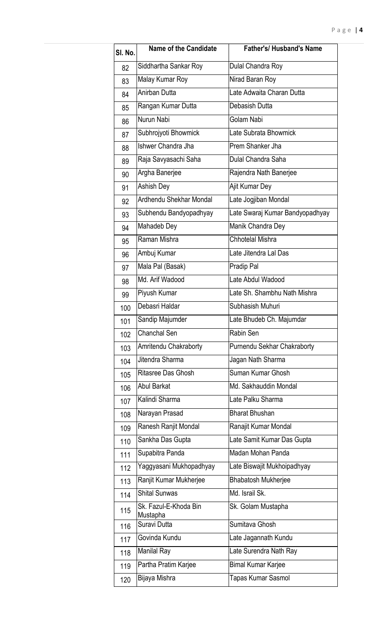| SI. No. | Name of the Candidate             | <b>Father's/ Husband's Name</b> |  |
|---------|-----------------------------------|---------------------------------|--|
| 82      | Siddhartha Sankar Roy             | Dulal Chandra Roy               |  |
| 83      | Malay Kumar Roy                   | Nirad Baran Roy                 |  |
| 84      | Anirban Dutta                     | Late Adwaita Charan Dutta       |  |
| 85      | Rangan Kumar Dutta                | Debasish Dutta                  |  |
| 86      | Nurun Nabi                        | Golam Nabi                      |  |
| 87      | Subhrojyoti Bhowmick              | Late Subrata Bhowmick           |  |
| 88      | Ishwer Chandra Jha                | Prem Shanker Jha                |  |
| 89      | Raja Savyasachi Saha              | Dulal Chandra Saha              |  |
| 90      | Argha Banerjee                    | Rajendra Nath Banerjee          |  |
| 91      | Ashish Dey                        | Ajit Kumar Dey                  |  |
| 92      | Ardhendu Shekhar Mondal           | Late Jogjiban Mondal            |  |
| 93      | Subhendu Bandyopadhyay            | Late Swaraj Kumar Bandyopadhyay |  |
| 94      | Mahadeb Dey                       | Manik Chandra Dey               |  |
| 95      | Raman Mishra                      | <b>Chhotelal Mishra</b>         |  |
| 96      | Ambuj Kumar                       | Late Jitendra Lal Das           |  |
| 97      | Mala Pal (Basak)                  | Pradip Pal                      |  |
| 98      | Md. Arif Wadood                   | Late Abdul Wadood               |  |
| 99      | Piyush Kumar                      | Late Sh. Shambhu Nath Mishra    |  |
| 100     | Debasri Haldar                    | Subhasish Muhuri                |  |
| 101     | Sandip Majumder                   | Late Bhudeb Ch. Majumdar        |  |
| 102     | <b>Chanchal Sen</b>               | Rabin Sen                       |  |
| 103     | Amritendu Chakraborty             | Purnendu Sekhar Chakraborty     |  |
| 104     | Jitendra Sharma                   | Jagan Nath Sharma               |  |
| 105     | Ritasree Das Ghosh                | Suman Kumar Ghosh               |  |
| 106     | <b>Abul Barkat</b>                | Md. Sakhauddin Mondal           |  |
| 107     | Kalindi Sharma                    | Late Palku Sharma               |  |
| 108     | Narayan Prasad                    | <b>Bharat Bhushan</b>           |  |
| 109     | Ranesh Ranjit Mondal              | Ranajit Kumar Mondal            |  |
| 110     | Sankha Das Gupta                  | Late Samit Kumar Das Gupta      |  |
| 111     | Supabitra Panda                   | Madan Mohan Panda               |  |
| 112     | Yaggyasani Mukhopadhyay           | Late Biswajit Mukhoipadhyay     |  |
| 113     | Ranjit Kumar Mukherjee            | <b>Bhabatosh Mukherjee</b>      |  |
| 114     | <b>Shital Sunwas</b>              | Md. Israil Sk.                  |  |
| 115     | Sk. Fazul-E-Khoda Bin<br>Mustapha | Sk. Golam Mustapha              |  |
| 116     | Suravi Dutta                      | Sumitava Ghosh                  |  |
| 117     | Govinda Kundu                     | Late Jagannath Kundu            |  |
| 118     | Manilal Ray                       | Late Surendra Nath Ray          |  |
| 119     | Partha Pratim Karjee              | <b>Bimal Kumar Karjee</b>       |  |
| 120     | Bijaya Mishra                     | Tapas Kumar Sasmol              |  |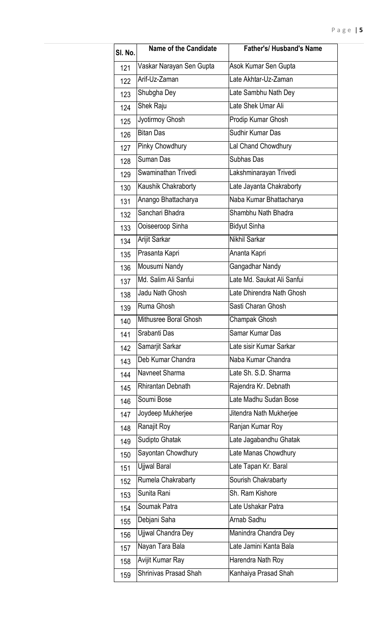| SI. No. | <b>Name of the Candidate</b> | <b>Father's/ Husband's Name</b> |
|---------|------------------------------|---------------------------------|
| 121     | Vaskar Narayan Sen Gupta     | Asok Kumar Sen Gupta            |
| 122     | Arif-Uz-Zaman                | Late Akhtar-Uz-Zaman            |
| 123     | Shubgha Dey                  | Late Sambhu Nath Dey            |
| 124     | Shek Raju                    | Late Shek Umar Ali              |
| 125     | Jyotirmoy Ghosh              | Prodip Kumar Ghosh              |
| 126     | <b>Bitan Das</b>             | Sudhir Kumar Das                |
| 127     | Pinky Chowdhury              | Lal Chand Chowdhury             |
| 128     | Suman Das                    | Subhas Das                      |
| 129     | Swaminathan Trivedi          | Lakshminarayan Trivedi          |
| 130     | Kaushik Chakraborty          | Late Jayanta Chakraborty        |
| 131     | Anango Bhattacharya          | Naba Kumar Bhattacharya         |
| 132     | Sanchari Bhadra              | Shambhu Nath Bhadra             |
| 133     | Ooiseeroop Sinha             | <b>Bidyut Sinha</b>             |
| 134     | Arijit Sarkar                | Nikhil Sarkar                   |
| 135     | Prasanta Kapri               | Ananta Kapri                    |
| 136     | Mousumi Nandy                | Gangadhar Nandy                 |
| 137     | Md. Salim Ali Sanfui         | Late Md. Saukat Ali Sanfui      |
| 138     | Jadu Nath Ghosh              | Late Dhirendra Nath Ghosh       |
| 139     | Ruma Ghosh                   | Sasti Charan Ghosh              |
| 140     | Mithusree Boral Ghosh        | Champak Ghosh                   |
| 141     | Srabanti Das                 | Samar Kumar Das                 |
| 142     | Samarjit Sarkar              | Late sisir Kumar Sarkar         |
| 143     | Deb Kumar Chandra            | Naba Kumar Chandra              |
| 144     | Navneet Sharma               | Late Sh. S.D. Sharma            |
| 145     | <b>Rhirantan Debnath</b>     | Rajendra Kr. Debnath            |
| 146     | Soumi Bose                   | Late Madhu Sudan Bose           |
| 147     | Joydeep Mukherjee            | Jitendra Nath Mukherjee         |
| 148     | Ranajit Roy                  | Ranjan Kumar Roy                |
| 149     | Sudipto Ghatak               | Late Jagabandhu Ghatak          |
| 150     | Sayontan Chowdhury           | Late Manas Chowdhury            |
| 151     | Ujjwal Baral                 | Late Tapan Kr. Baral            |
| 152     | Rumela Chakrabarty           | Sourish Chakrabarty             |
| 153     | Sunita Rani                  | Sh. Ram Kishore                 |
| 154     | Soumak Patra                 | Late Ushakar Patra              |
| 155     | Debjani Saha                 | Arnab Sadhu                     |
| 156     | Ujjwal Chandra Dey           | Manindra Chandra Dey            |
| 157     | Nayan Tara Bala              | Late Jamini Kanta Bala          |
| 158     | Avijit Kumar Ray             | Harendra Nath Roy               |
| 159     | <b>Shrinivas Prasad Shah</b> | Kanhaiya Prasad Shah            |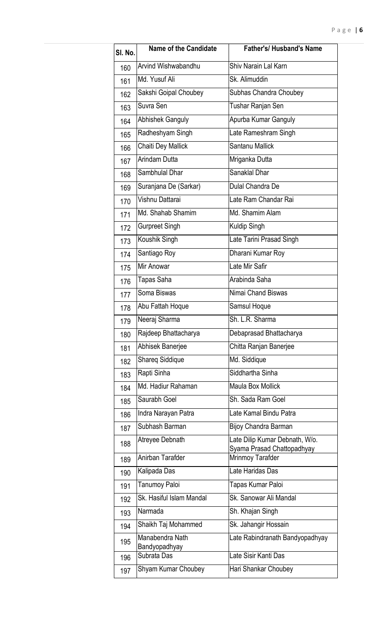| SI. No. | Name of the Candidate            | <b>Father's/ Husband's Name</b>                              |
|---------|----------------------------------|--------------------------------------------------------------|
| 160     | Arvind Wishwabandhu              | Shiv Narain Lal Karn                                         |
| 161     | Md. Yusuf Ali                    | Sk. Alimuddin                                                |
| 162     | Sakshi Goipal Choubey            | Subhas Chandra Choubey                                       |
| 163     | Suvra Sen                        | Tushar Ranjan Sen                                            |
| 164     | <b>Abhishek Ganguly</b>          | Apurba Kumar Ganguly                                         |
| 165     | Radheshyam Singh                 | Late Rameshram Singh                                         |
| 166     | Chaiti Dey Mallick               | Santanu Mallick                                              |
| 167     | Arindam Dutta                    | Mriganka Dutta                                               |
| 168     | Sambhulal Dhar                   | Sanaklal Dhar                                                |
| 169     | Suranjana De (Sarkar)            | Dulal Chandra De                                             |
| 170     | Vishnu Dattarai                  | Late Ram Chandar Rai                                         |
| 171     | Md. Shahab Shamim                | Md. Shamim Alam                                              |
| 172     | <b>Gurpreet Singh</b>            | Kuldip Singh                                                 |
| 173     | Koushik Singh                    | Late Tarini Prasad Singh                                     |
| 174     | Santiago Roy                     | Dharani Kumar Roy                                            |
| 175     | Mir Anowar                       | Late Mir Safir                                               |
| 176     | Tapas Saha                       | Arabinda Saha                                                |
| 177     | Soma Biswas                      | Nimai Chand Biswas                                           |
| 178     | Abu Fattah Hoque                 | Samsul Hoque                                                 |
| 179     | Neeraj Sharma                    | Sh. L.R. Sharma                                              |
| 180     | Rajdeep Bhattacharya             | Debaprasad Bhattacharya                                      |
| 181     | Abhisek Banerjee                 | Chitta Ranjan Banerjee                                       |
| 182     | <b>Shareg Siddique</b>           | Md. Siddique                                                 |
| 183     | Rapti Sinha                      | Siddhartha Sinha                                             |
| 184     | Md. Hadiur Rahaman               | <b>Maula Box Mollick</b>                                     |
| 185     | Saurabh Goel                     | Sh. Sada Ram Goel                                            |
| 186     | Indra Narayan Patra              | Late Kamal Bindu Patra                                       |
| 187     | Subhash Barman                   | Bijoy Chandra Barman                                         |
| 188     | Atreyee Debnath                  | Late Dilip Kumar Debnath, W/o.<br>Syama Prasad Chattopadhyay |
| 189     | Anirban Tarafder                 | Mrinmoy Tarafder                                             |
| 190     | Kalipada Das                     | Late Haridas Das                                             |
| 191     | Tanumoy Paloi                    | Tapas Kumar Paloi                                            |
| 192     | Sk. Hasiful Islam Mandal         | Sk. Sanowar Ali Mandal                                       |
| 193     | Narmada                          | Sh. Khajan Singh                                             |
| 194     | Shaikh Taj Mohammed              | Sk. Jahangir Hossain                                         |
| 195     | Manabendra Nath<br>Bandyopadhyay | Late Rabindranath Bandyopadhyay                              |
| 196     | Subrata Das                      | Late Sisir Kanti Das                                         |
| 197     | Shyam Kumar Choubey              | Hari Shankar Choubey                                         |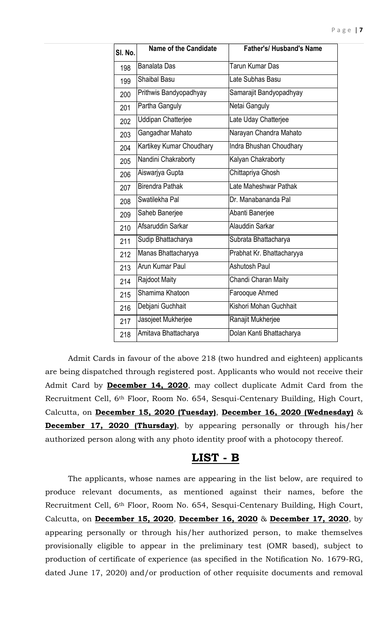| SI. No. | <b>Name of the Candidate</b> | <b>Father's/ Husband's Name</b> |
|---------|------------------------------|---------------------------------|
| 198     | <b>Banalata Das</b>          | Tarun Kumar Das                 |
| 199     | <b>Shaibal Basu</b>          | Late Subhas Basu                |
| 200     | Prithwis Bandyopadhyay       | Samarajit Bandyopadhyay         |
| 201     | Partha Ganguly               | Netai Ganguly                   |
| 202     | <b>Uddipan Chatterjee</b>    | Late Uday Chatterjee            |
| 203     | Gangadhar Mahato             | Narayan Chandra Mahato          |
| 204     | Kartikey Kumar Choudhary     | Indra Bhushan Choudhary         |
| 205     | Nandini Chakraborty          | Kalyan Chakraborty              |
| 206     | Aiswarjya Gupta              | Chittapriya Ghosh               |
| 207     | <b>Birendra Pathak</b>       | Late Maheshwar Pathak           |
| 208     | Swatilekha Pal               | Dr. Manabananda Pal             |
| 209     | Saheb Banerjee               | Abanti Banerjee                 |
| 210     | Afsaruddin Sarkar            | Alauddin Sarkar                 |
| 211     | Sudip Bhattacharya           | Subrata Bhattacharya            |
| 212     | Manas Bhattacharyya          | Prabhat Kr. Bhattacharyya       |
| 213     | Arun Kumar Paul              | <b>Ashutosh Paul</b>            |
| 214     | Rajdoot Maity                | Chandi Charan Maity             |
| 215     | Shamima Khatoon              | Farooque Ahmed                  |
| 216     | Debjani Guchhait             | Kishori Mohan Guchhait          |
| 217     | Jasojeet Mukherjee           | Ranajit Mukherjee               |
| 218     | Amitava Bhattacharya         | Dolan Kanti Bhattacharya        |

Admit Cards in favour of the above 218 (two hundred and eighteen) applicants are being dispatched through registered post. Applicants who would not receive their Admit Card by **December 14, 2020**, may collect duplicate Admit Card from the Recruitment Cell, 6th Floor, Room No. 654, Sesqui-Centenary Building, High Court, Calcutta, on **December 15, 2020 (Tuesday)**, **December 16, 2020 (Wednesday)** & **December 17, 2020 (Thursday)**, by appearing personally or through his/her authorized person along with any photo identity proof with a photocopy thereof.

## **LIST - B**

The applicants, whose names are appearing in the list below, are required to produce relevant documents, as mentioned against their names, before the Recruitment Cell, 6th Floor, Room No. 654, Sesqui-Centenary Building, High Court, Calcutta, on **December 15, 2020**, **December 16, 2020** & **December 17, 2020**, by appearing personally or through his/her authorized person, to make themselves provisionally eligible to appear in the preliminary test (OMR based), subject to production of certificate of experience (as specified in the Notification No. 1679-RG, dated June 17, 2020) and/or production of other requisite documents and removal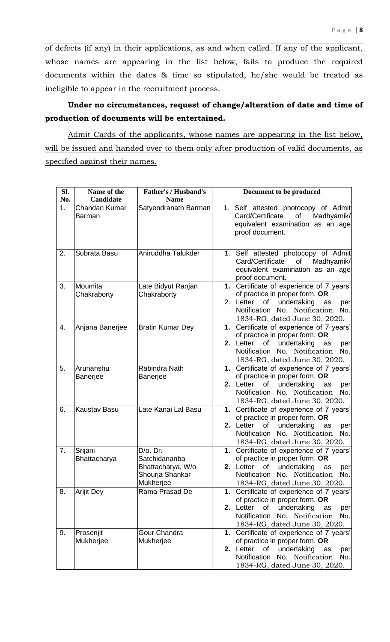of defects (if any) in their applications, as and when called. If any of the applicant, whose names are appearing in the list below, fails to produce the required documents within the dates & time so stipulated, he/she would be treated as ineligible to appear in the recruitment process.

## **Under no circumstances, request of change/alteration of date and time of production of documents will be entertained.**

Admit Cards of the applicants, whose names are appearing in the list below, will be issued and handed over to them only after production of valid documents, as specified against their names.

| Sl.            | Name of the                    | <b>Father's / Husband's</b>                                                       | Document to be produced                                                                                                                                                                               |
|----------------|--------------------------------|-----------------------------------------------------------------------------------|-------------------------------------------------------------------------------------------------------------------------------------------------------------------------------------------------------|
| No.            | Candidate                      | <b>Name</b>                                                                       |                                                                                                                                                                                                       |
| 1 <sub>1</sub> | Chandan Kumar<br><b>Barman</b> | Satyendranath Barman                                                              | 1. Self attested photocopy of Admit<br>Card/Certificate<br>of<br>Madhyamik/<br>equivalent examination as an age<br>proof document.                                                                    |
| 2.             | Subrata Basu                   | Aniruddha Talukder                                                                | 1. Self attested photocopy of Admit<br>Card/Certificate<br>of<br>Madhyamik/<br>equivalent examination as an age<br>proof document.                                                                    |
| 3.             | Moumita<br>Chakraborty         | Late Bidyut Ranjan<br>Chakraborty                                                 | 1. Certificate of experience of 7 years'<br>of practice in proper form. OR<br>undertaking<br>2. Letter<br>of<br>as<br>per<br>Notification No. Notification<br>No.<br>1834-RG, dated June 30, 2020.    |
| 4.             | Anjana Banerjee                | <b>Bratin Kumar Dey</b>                                                           | 1. Certificate of experience of 7 years'<br>of practice in proper form. OR<br>2. Letter<br>of<br>undertaking<br>as<br>per<br>Notification<br>No. Notification<br>No.<br>1834-RG, dated June 30, 2020. |
| 5.             | Arunanshu<br>Banerjee          | Rabindra Nath<br>Banerjee                                                         | 1. Certificate of experience of 7 years'<br>of practice in proper form. OR<br>of<br>undertaking<br>2. Letter<br>as<br>per<br>Notification<br>No. Notification<br>No.<br>1834-RG, dated June 30, 2020. |
| 6.             | <b>Kaustav Basu</b>            | Late Kanai Lal Basu                                                               | 1. Certificate of experience of 7 years'<br>of practice in proper form. OR<br>2. Letter<br>undertaking<br>of<br>as<br>per<br>Notification No. Notification<br>No.<br>1834-RG, dated June 30, 2020.    |
| 7.             | Srijani<br>Bhattacharya        | $D/O$ . Dr.<br>Satchidananba<br>Bhattacharya, W/o<br>Shourja Shankar<br>Mukherjee | Certificate of experience of 7 years'<br>1.<br>of practice in proper form. OR<br>2. Letter<br>of<br>undertaking<br>as<br>per<br>Notification No. Notification No.<br>1834-RG, dated June 30, 2020.    |
| 8.             | <b>Arijit Dey</b>              | Rama Prasad De                                                                    | 1. Certificate of experience of 7 years'<br>of practice in proper form. OR<br>2. Letter<br>undertaking<br>of<br>as<br>per<br>Notification<br>No. Notification<br>No.<br>1834-RG, dated June 30, 2020. |
| 9.             | Prosenjit<br>Mukherjee         | Gour Chandra<br>Mukherjee                                                         | 1. Certificate of experience of 7 years'<br>of practice in proper form. OR<br>2. Letter<br>of<br>undertaking<br>as<br>per<br>Notification<br>No. Notification<br>No.<br>1834-RG, dated June 30, 2020. |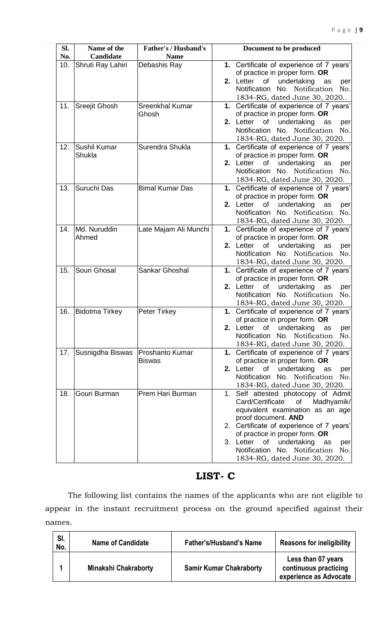| SI. | Name of the           | <b>Father's / Husband's</b> | Document to be produced                        |
|-----|-----------------------|-----------------------------|------------------------------------------------|
| No. | <b>Candidate</b>      | <b>Name</b>                 |                                                |
| 10. | Shruti Ray Lahiri     | Debashis Ray                | 1. Certificate of experience of 7 years'       |
|     |                       |                             | of practice in proper form. OR                 |
|     |                       |                             | undertaking<br>2. Letter<br>of<br>as<br>per    |
|     |                       |                             | No. Notification<br>Notification<br>No.        |
|     |                       |                             | 1834-RG, dated June 30, 2020                   |
| 11. | <b>Sreejit Ghosh</b>  | Sreenkhal Kumar             | 1. Certificate of experience of 7 years'       |
|     |                       | Ghosh                       | of practice in proper form. OR                 |
|     |                       |                             | Letter<br>undertaking<br>of<br>2.<br>as<br>per |
|     |                       |                             | No. Notification<br>Notification<br>No.        |
|     |                       |                             | 1834-RG, dated June 30, 2020.                  |
| 12. | Sushil Kumar          | Surendra Shukla             | 1. Certificate of experience of 7 years'       |
|     | Shukla                |                             | of practice in proper form. OR                 |
|     |                       |                             | 2. Letter<br>undertaking<br>of<br>as<br>per    |
|     |                       |                             | <b>Notification</b><br>No. Notification<br>No. |
|     |                       |                             | 1834-RG, dated June 30, 2020.                  |
| 13. | Suruchi Das           | <b>Bimal Kumar Das</b>      | 1. Certificate of experience of 7 years'       |
|     |                       |                             | of practice in proper form. OR                 |
|     |                       |                             | 2. Letter<br>of<br>undertaking<br>as<br>per    |
|     |                       |                             | Notification No. Notification<br>No.           |
|     |                       |                             | 1834-RG, dated June 30, 2020.                  |
| 14. | Md. Nuruddin          | Late Majam Ali Munchi       | 1. Certificate of experience of 7 years'       |
|     | Ahmed                 |                             | of practice in proper form. OR                 |
|     |                       |                             | undertaking<br>of<br>2. Letter<br>as<br>per    |
|     |                       |                             | Notification No. Notification<br>No.           |
|     |                       |                             | 1834-RG, dated June 30, 2020.                  |
| 15. | Souri Ghosal          | Sankar Ghoshal              | 1. Certificate of experience of 7 years'       |
|     |                       |                             | of practice in proper form. OR                 |
|     |                       |                             | undertaking<br>2.<br>Letter<br>of<br>as<br>per |
|     |                       |                             | Notification No. Notification<br>No.           |
|     |                       |                             | 1834-RG, dated June 30, 2020.                  |
| 16. | <b>Bidotma Tirkey</b> | <b>Peter Tirkey</b>         | 1. Certificate of experience of 7 years'       |
|     |                       |                             | of practice in proper form. OR                 |
|     |                       |                             | 2. Letter<br>of<br>undertaking<br>as<br>per    |
|     |                       |                             | <b>Notification</b><br>No. Notification<br>No. |
|     |                       |                             | 1834-RG, dated June 30, 2020.                  |
| 17. | Susnigdha Biswas      | <b>Proshanto Kumar</b>      | 1. Certificate of experience of 7 years'       |
|     |                       | <b>Biswas</b>               | of practice in proper form. OR                 |
|     |                       |                             | 2. Letter<br>of<br>undertaking<br>as<br>per    |
|     |                       |                             | Notification<br>No. Notification No.           |
|     |                       |                             | 1834-RG, dated June 30, 2020.                  |
| 18. | Gouri Burman          | Prem Hari Burman            | 1. Self attested photocopy of Admit            |
|     |                       |                             | Card/Certificate<br>of<br>Madhyamik/           |
|     |                       |                             | equivalent examination as an age               |
|     |                       |                             | proof document. AND                            |
|     |                       |                             | 2. Certificate of experience of 7 years'       |
|     |                       |                             | of practice in proper form. OR                 |
|     |                       |                             | 3. Letter<br>of<br>undertaking<br>as<br>per    |
|     |                       |                             | <b>Notification</b><br>No. Notification<br>No. |
|     |                       |                             | 1834-RG, dated June 30, 2020.                  |

# **LIST- C**

The following list contains the names of the applicants who are not eligible to appear in the instant recruitment process on the ground specified against their names.

| SI.<br>No. | <b>Name of Candidate</b>    | <b>Father's/Husband's Name</b> | <b>Reasons for ineligibility</b>                                      |
|------------|-----------------------------|--------------------------------|-----------------------------------------------------------------------|
|            | <b>Minakshi Chakraborty</b> | <b>Samir Kumar Chakraborty</b> | Less than 07 years<br>continuous practicing<br>experience as Advocate |